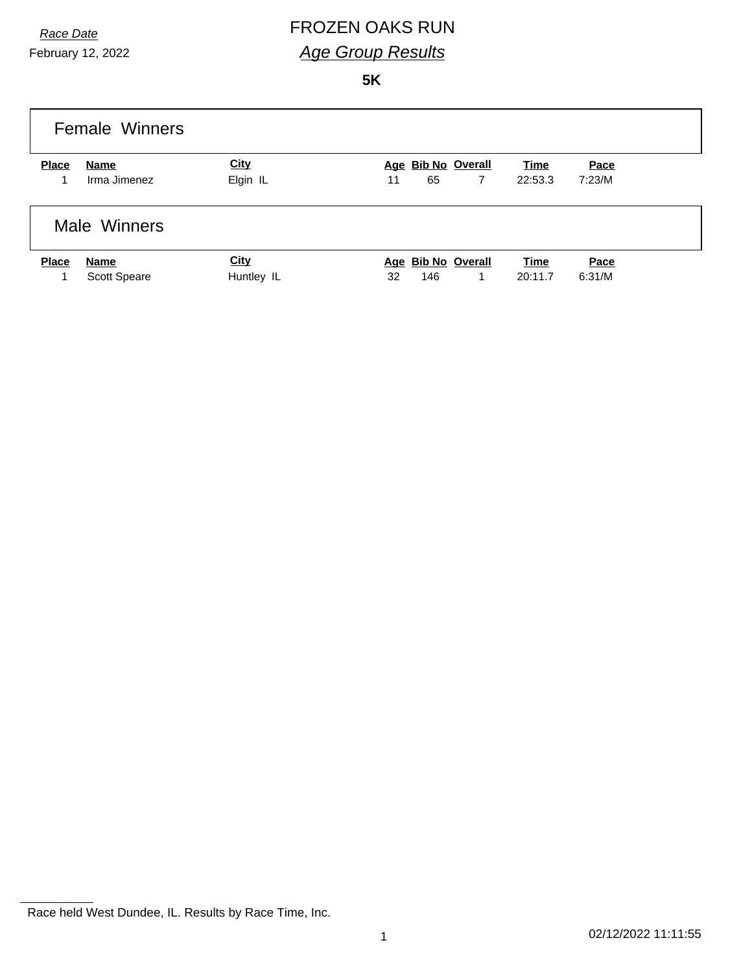# *Race Date* FROZEN OAKS RUN *Age Group Results*

**5K**

|              | <b>Female Winners</b> |             |                            |             |        |
|--------------|-----------------------|-------------|----------------------------|-------------|--------|
| <b>Place</b> | Name                  | <b>City</b> | Age Bib No Overall         | <b>Time</b> | Pace   |
| 1            | Irma Jimenez          | Elgin IL    | 65<br>$\overline{7}$<br>11 | 22:53.3     | 7:23/M |
|              | Male Winners          |             |                            |             |        |
| <b>Place</b> | Name                  | <b>City</b> | Age Bib No Overall         | <b>Time</b> | Pace   |
|              | <b>Scott Speare</b>   | Huntley IL  | 146<br>32<br>1             | 20:11.7     | 6:31/M |

Race held West Dundee, IL. Results by Race Time, Inc.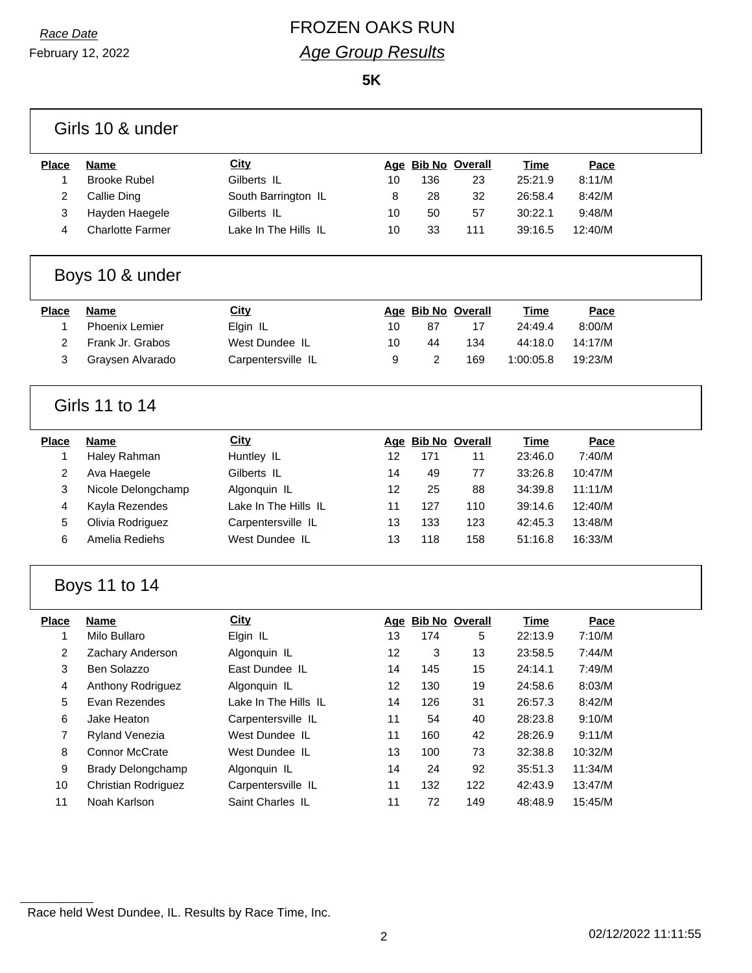February 12, 2022

## *Race Date* FROZEN OAKS RUN *Age Group Results*

**5K**

|              | Girls 10 & under         |                      |    |     |                    |             |         |  |
|--------------|--------------------------|----------------------|----|-----|--------------------|-------------|---------|--|
| <b>Place</b> | <b>Name</b>              | City                 |    |     | Age Bib No Overall | <b>Time</b> | Pace    |  |
| 1            | <b>Brooke Rubel</b>      | Gilberts IL          | 10 | 136 | 23                 | 25:21.9     | 8:11/M  |  |
| 2            | Callie Ding              | South Barrington IL  | 8  | 28  | 32                 | 26:58.4     | 8:42/M  |  |
| 3            | Hayden Haegele           | Gilberts IL          | 10 | 50  | 57                 | 30:22.1     | 9:48/M  |  |
| 4            | <b>Charlotte Farmer</b>  | Lake In The Hills IL | 10 | 33  | 111                | 39:16.5     | 12:40/M |  |
|              | Boys 10 & under          |                      |    |     |                    |             |         |  |
| <b>Place</b> | <b>Name</b>              | <b>City</b>          |    |     | Age Bib No Overall | Time        | Pace    |  |
| 1            | <b>Phoenix Lemier</b>    | Elgin IL             | 10 | 87  | 17                 | 24:49.4     | 8:00/M  |  |
| 2            | Frank Jr. Grabos         | West Dundee IL       | 10 | 44  | 134                | 44:18.0     | 14:17/M |  |
| 3            | Graysen Alvarado         | Carpentersville IL   | 9  | 2   | 169                | 1:00:05.8   | 19:23/M |  |
|              | Girls 11 to 14           |                      |    |     |                    |             |         |  |
| <b>Place</b> | <b>Name</b>              | <b>City</b>          |    |     | Age Bib No Overall | <b>Time</b> | Pace    |  |
| $\mathbf{1}$ | Haley Rahman             | Huntley IL           | 12 | 171 | 11                 | 23:46.0     | 7:40/M  |  |
| 2            | Ava Haegele              | Gilberts IL          | 14 | 49  | 77                 | 33:26.8     | 10:47/M |  |
| 3            | Nicole Delongchamp       | Algonquin IL         | 12 | 25  | 88                 | 34:39.8     | 11:11/M |  |
| 4            | Kayla Rezendes           | Lake In The Hills IL | 11 | 127 | 110                | 39:14.6     | 12:40/M |  |
| 5            | Olivia Rodriguez         | Carpentersville IL   | 13 | 133 | 123                | 42:45.3     | 13:48/M |  |
| 6            | Amelia Rediehs           | West Dundee IL       | 13 | 118 | 158                | 51:16.8     | 16:33/M |  |
|              | Boys 11 to 14            |                      |    |     |                    |             |         |  |
| <b>Place</b> | <b>Name</b>              | City                 |    |     | Age Bib No Overall | <b>Time</b> | Pace    |  |
| 1            | Milo Bullaro             | Elgin IL             | 13 | 174 | 5                  | 22:13.9     | 7:10/M  |  |
| 2            | Zachary Anderson         | Algonquin IL         | 12 | 3   | 13                 | 23:58.5     | 7:44/M  |  |
| 3            | Ben Solazzo              | East Dundee IL       | 14 | 145 | 15                 | 24:14.1     | 7:49/M  |  |
| 4            | Anthony Rodriguez        | Algonquin IL         | 12 | 130 | 19                 | 24:58.6     | 8:03/M  |  |
| 5            | Evan Rezendes            | Lake In The Hills IL | 14 | 126 | 31                 | 26:57.3     | 8:42/M  |  |
| 6            | Jake Heaton              | Carpentersville IL   | 11 | 54  | 40                 | 28:23.8     | 9:10/M  |  |
| 7            | <b>Ryland Venezia</b>    | West Dundee IL       | 11 | 160 | 42                 | 28:26.9     | 9:11/M  |  |
| 8            | Connor McCrate           | West Dundee IL       | 13 | 100 | 73                 | 32:38.8     | 10:32/M |  |
| 9            | <b>Brady Delongchamp</b> | Algonquin IL         | 14 | 24  | 92                 | 35:51.3     | 11:34/M |  |
| 10           | Christian Rodriguez      | Carpentersville IL   | 11 | 132 | 122                | 42:43.9     | 13:47/M |  |
| 11           | Noah Karlson             | Saint Charles IL     | 11 | 72  | 149                | 48:48.9     | 15:45/M |  |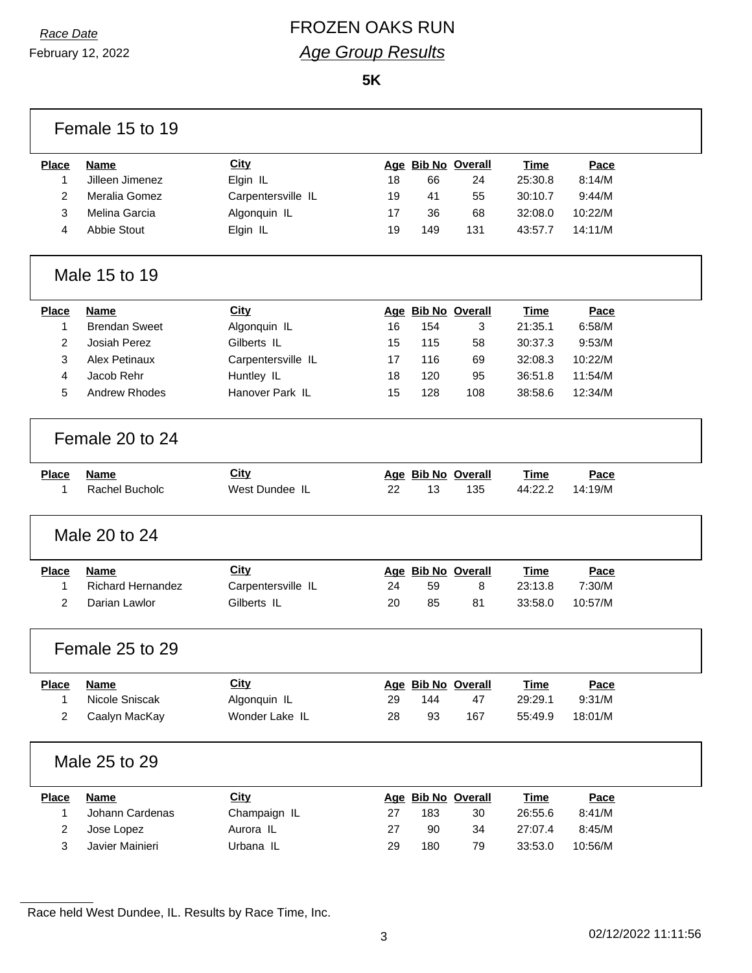# *Race Date* FROZEN OAKS RUN *Age Group Results*

**5K**

|                | Female 15 to 19          |                    |    |     |                    |             |         |
|----------------|--------------------------|--------------------|----|-----|--------------------|-------------|---------|
| <b>Place</b>   | <b>Name</b>              | <b>City</b>        |    |     | Age Bib No Overall | <b>Time</b> | Pace    |
| 1              | Jilleen Jimenez          | Elgin IL           | 18 | 66  | 24                 | 25:30.8     | 8:14/M  |
| 2              | Meralia Gomez            | Carpentersville IL | 19 | 41  | 55                 | 30:10.7     | 9:44/M  |
| 3              | Melina Garcia            | Algonquin IL       | 17 | 36  | 68                 | 32:08.0     | 10:22/M |
| 4              | <b>Abbie Stout</b>       | Elgin IL           | 19 | 149 | 131                | 43:57.7     | 14:11/M |
|                | Male 15 to 19            |                    |    |     |                    |             |         |
| <b>Place</b>   | <b>Name</b>              | City               |    |     | Age Bib No Overall | <b>Time</b> | Pace    |
| 1              | <b>Brendan Sweet</b>     | Algonquin IL       | 16 | 154 | 3                  | 21:35.1     | 6:58/M  |
| 2              | Josiah Perez             | Gilberts IL        | 15 | 115 | 58                 | 30:37.3     | 9:53/M  |
| 3              | <b>Alex Petinaux</b>     | Carpentersville IL | 17 | 116 | 69                 | 32:08.3     | 10:22/M |
| 4              | Jacob Rehr               | Huntley IL         | 18 | 120 | 95                 | 36:51.8     | 11:54/M |
| 5              | <b>Andrew Rhodes</b>     | Hanover Park IL    | 15 | 128 | 108                | 38:58.6     | 12:34/M |
|                | Female 20 to 24          |                    |    |     |                    |             |         |
| <b>Place</b>   | <b>Name</b>              | <b>City</b>        |    |     | Age Bib No Overall | <b>Time</b> | Pace    |
| 1              | Rachel Bucholc           | West Dundee IL     | 22 | 13  | 135                | 44:22.2     | 14:19/M |
|                | Male 20 to 24            |                    |    |     |                    |             |         |
| <b>Place</b>   | <b>Name</b>              | City               |    |     | Age Bib No Overall | Time        | Pace    |
| 1              | <b>Richard Hernandez</b> | Carpentersville IL | 24 | 59  | 8                  | 23:13.8     | 7:30/M  |
| $\overline{2}$ | Darian Lawlor            | Gilberts IL        | 20 | 85  | 81                 | 33:58.0     | 10:57/M |
|                | Female 25 to 29          |                    |    |     |                    |             |         |
| Place          | <b>Name</b>              | <b>City</b>        |    |     | Age Bib No Overall | <b>Time</b> | Pace    |
| 1              | Nicole Sniscak           | Algonquin IL       | 29 | 144 | 47                 | 29:29.1     | 9:31/M  |
| 2              | Caalyn MacKay            | Wonder Lake IL     | 28 | 93  | 167                | 55:49.9     | 18:01/M |
|                | Male 25 to 29            |                    |    |     |                    |             |         |
| <b>Place</b>   | <b>Name</b>              | <b>City</b>        |    |     | Age Bib No Overall | <b>Time</b> | Pace    |
| 1              | Johann Cardenas          | Champaign IL       | 27 | 183 | 30                 | 26:55.6     | 8:41/M  |
| 2              | Jose Lopez               | Aurora IL          | 27 | 90  | 34                 | 27:07.4     | 8:45/M  |
| 3              | Javier Mainieri          | Urbana IL          | 29 | 180 | 79                 | 33:53.0     | 10:56/M |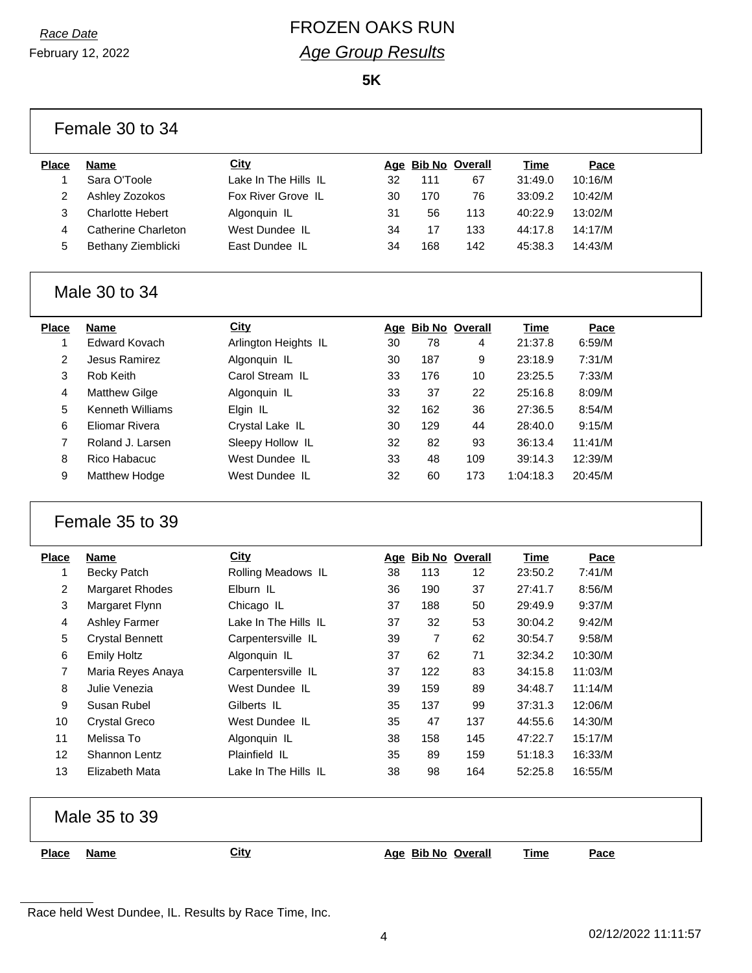February 12, 2022

# *Race Date* FROZEN OAKS RUN *Age Group Results*

**5K**

| <b>Place</b>   | <b>Name</b>                      | City                 |    |                | Age Bib No Overall | Time        | Pace    |
|----------------|----------------------------------|----------------------|----|----------------|--------------------|-------------|---------|
| 1              | Sara O'Toole                     | Lake In The Hills IL | 32 | 111            | 67                 | 31:49.0     | 10:16/M |
| $\overline{2}$ | Ashley Zozokos                   | Fox River Grove IL   | 30 | 170            | 76                 | 33:09.2     | 10:42/M |
| 3              | <b>Charlotte Hebert</b>          | Algonquin IL         | 31 | 56             | 113                | 40:22.9     | 13:02/M |
| 4              | <b>Catherine Charleton</b>       | West Dundee IL       | 34 | 17             | 133                | 44:17.8     | 14:17/M |
| 5              | Bethany Ziemblicki               | East Dundee IL       | 34 | 168            | 142                | 45:38.3     | 14:43/M |
|                | Male 30 to 34                    |                      |    |                |                    |             |         |
| <b>Place</b>   | <b>Name</b>                      | City                 |    |                | Age Bib No Overall | <b>Time</b> | Pace    |
| 1              | <b>Edward Kovach</b>             | Arlington Heights IL | 30 | 78             | 4                  | 21:37.8     | 6:59/M  |
| $\overline{c}$ | Jesus Ramirez                    | Algonquin IL         | 30 | 187            | 9                  | 23:18.9     | 7:31/M  |
| 3              | Rob Keith                        | Carol Stream IL      | 33 | 176            | 10                 | 23:25.5     | 7:33/M  |
| 4              | <b>Matthew Gilge</b>             | Algonquin IL         | 33 | 37             | 22                 | 25:16.8     | 8:09/M  |
| 5              | <b>Kenneth Williams</b>          | Elgin IL             | 32 | 162            | 36                 | 27:36.5     | 8:54/M  |
| 6              | <b>Eliomar Rivera</b>            | Crystal Lake IL      | 30 | 129            | 44                 | 28:40.0     | 9:15/M  |
| $\overline{7}$ | Roland J. Larsen                 | Sleepy Hollow IL     | 32 | 82             | 93                 | 36:13.4     | 11:41/M |
|                |                                  |                      |    |                |                    |             |         |
| 8              | Rico Habacuc                     | West Dundee IL       | 33 | 48             | 109                | 39:14.3     | 12:39/M |
| 9              | Matthew Hodge<br>Female 35 to 39 | West Dundee IL       | 32 | 60             | 173                | 1:04:18.3   | 20:45/M |
| <b>Place</b>   | <b>Name</b>                      | <b>City</b>          |    |                | Age Bib No Overall | <b>Time</b> | Pace    |
| 1              | <b>Becky Patch</b>               | Rolling Meadows IL   | 38 | 113            | $12 \,$            | 23:50.2     | 7:41/M  |
| $\overline{2}$ | Margaret Rhodes                  | Elburn IL            | 36 | 190            | 37                 | 27:41.7     | 8:56/M  |
| 3              | Margaret Flynn                   | Chicago IL           | 37 | 188            | 50                 | 29:49.9     | 9:37/M  |
| 4              | <b>Ashley Farmer</b>             | Lake In The Hills IL | 37 | 32             | 53                 | 30:04.2     | 9:42/M  |
| 5              | <b>Crystal Bennett</b>           | Carpentersville IL   | 39 | $\overline{7}$ | 62                 | 30:54.7     | 9:58/M  |
| 6              | <b>Emily Holtz</b>               | Algonquin IL         | 37 | 62             | 71                 | 32:34.2     | 10:30/M |
| $\overline{7}$ | Maria Reyes Anaya                | Carpentersville IL   | 37 | 122            | 83                 | 34:15.8     | 11:03/M |
| 8              | Julie Venezia                    | West Dundee IL       | 39 | 159            | 89                 | 34:48.7     | 11:14/M |
| 9              | Susan Rubel                      | Gilberts IL          | 35 | 137            | 99                 | 37:31.3     | 12:06/M |
| 10             | <b>Crystal Greco</b>             | West Dundee IL       | 35 | 47             | 137                | 44:55.6     | 14:30/M |
| 11             | Melissa To                       | Algonquin IL         | 38 | 158            | 145                | 47:22.7     | 15:17/M |
| 12             | Shannon Lentz                    | Plainfield IL        | 35 | 89             | 159                | 51:18.3     | 16:33/M |
| 13             | Elizabeth Mata                   | Lake In The Hills IL | 38 | 98             | 164                | 52:25.8     | 16:55/M |
|                | Male 35 to 39                    |                      |    |                |                    |             |         |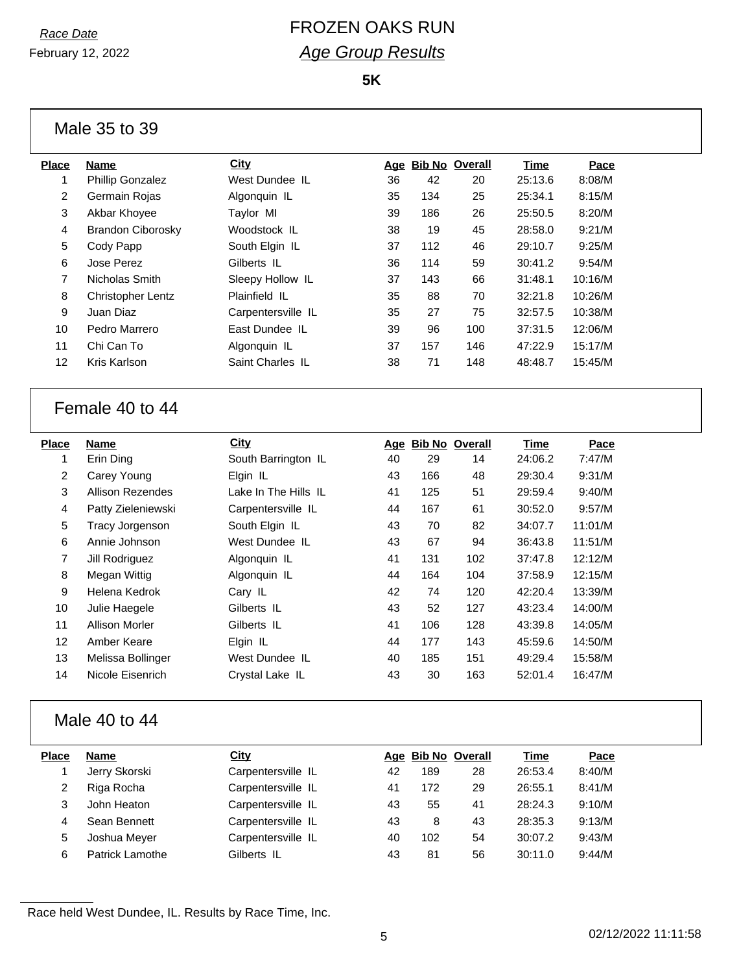February 12, 2022

# *Race Date* FROZEN OAKS RUN *Age Group Results*

**5K**

| Male 35 to 39 |  |  |  |
|---------------|--|--|--|
|---------------|--|--|--|

| Place | Name                     | City               |    | Age Bib No Overall |     | Time    | Pace    |
|-------|--------------------------|--------------------|----|--------------------|-----|---------|---------|
|       | <b>Phillip Gonzalez</b>  | West Dundee IL     | 36 | 42                 | 20  | 25:13.6 | 8:08/M  |
| 2     | Germain Rojas            | Algonguin IL       | 35 | 134                | 25  | 25:34.1 | 8:15/M  |
| 3     | Akbar Khoyee             | Taylor MI          | 39 | 186                | 26  | 25:50.5 | 8:20/M  |
| 4     | <b>Brandon Ciborosky</b> | Woodstock IL       | 38 | 19                 | 45  | 28:58.0 | 9:21/M  |
| 5     | Cody Papp                | South Elgin IL     | 37 | 112                | 46  | 29:10.7 | 9:25/M  |
| 6     | Jose Perez               | Gilberts IL        | 36 | 114                | 59  | 30:41.2 | 9:54/M  |
| 7     | Nicholas Smith           | Sleepy Hollow IL   | 37 | 143                | 66  | 31:48.1 | 10:16/M |
| 8     | <b>Christopher Lentz</b> | Plainfield IL      | 35 | 88                 | 70  | 32:21.8 | 10:26/M |
| 9     | Juan Diaz                | Carpentersville IL | 35 | 27                 | 75  | 32:57.5 | 10:38/M |
| 10    | Pedro Marrero            | East Dundee, IL    | 39 | 96                 | 100 | 37:31.5 | 12:06/M |
| 11    | Chi Can To               | Algonquin IL       | 37 | 157                | 146 | 47:22.9 | 15:17/M |
| 12    | Kris Karlson             | Saint Charles IL   | 38 | 71                 | 148 | 48:48.7 | 15:45/M |
|       |                          |                    |    |                    |     |         |         |

#### Female 40 to 44

| Place             | Name                    | <b>City</b>          | Age | <b>Bib No Overall</b> |     | Time    | Pace    |
|-------------------|-------------------------|----------------------|-----|-----------------------|-----|---------|---------|
|                   | Erin Ding               | South Barrington IL  | 40  | 29                    | 14  | 24:06.2 | 7:47/M  |
| $\overline{2}$    | Carey Young             | Elgin IL             | 43  | 166                   | 48  | 29:30.4 | 9:31/M  |
| 3                 | <b>Allison Rezendes</b> | Lake In The Hills IL | 41  | 125                   | 51  | 29:59.4 | 9:40/M  |
| 4                 | Patty Zieleniewski      | Carpentersville IL   | 44  | 167                   | 61  | 30:52.0 | 9:57/M  |
| 5                 | <b>Tracy Jorgenson</b>  | South Elgin IL       | 43  | 70                    | 82  | 34:07.7 | 11:01/M |
| 6                 | Annie Johnson           | West Dundee IL       | 43  | 67                    | 94  | 36:43.8 | 11:51/M |
| $\overline{7}$    | Jill Rodriguez          | Algonquin IL         | 41  | 131                   | 102 | 37:47.8 | 12:12/M |
| 8                 | Megan Wittig            | Algonquin IL         | 44  | 164                   | 104 | 37:58.9 | 12:15/M |
| 9                 | Helena Kedrok           | Cary IL              | 42  | 74                    | 120 | 42:20.4 | 13:39/M |
| 10                | Julie Haegele           | Gilberts IL          | 43  | 52                    | 127 | 43:23.4 | 14:00/M |
| 11                | <b>Allison Morler</b>   | Gilberts IL          | 41  | 106                   | 128 | 43:39.8 | 14:05/M |
| $12 \overline{ }$ | Amber Keare             | Elgin IL             | 44  | 177                   | 143 | 45:59.6 | 14:50/M |
| 13                | Melissa Bollinger       | West Dundee IL       | 40  | 185                   | 151 | 49:29.4 | 15:58/M |
| 14                | Nicole Eisenrich        | Crystal Lake IL      | 43  | 30                    | 163 | 52:01.4 | 16:47/M |

#### Male 40 to 44

| Place | Name            | <b>City</b>        |    | Age Bib No Overall |    | Time    | Pace   |
|-------|-----------------|--------------------|----|--------------------|----|---------|--------|
|       | Jerry Skorski   | Carpentersville IL | 42 | 189                | 28 | 26:53.4 | 8:40/M |
|       | Riga Rocha      | Carpentersville IL | 41 | 172                | 29 | 26:55.1 | 8:41/M |
| 3     | John Heaton     | Carpentersville IL | 43 | 55                 | 41 | 28:24.3 | 9:10/M |
| 4     | Sean Bennett    | Carpentersville IL | 43 | 8                  | 43 | 28:35.3 | 9:13/M |
| 5     | Joshua Meyer    | Carpentersville IL | 40 | 102                | 54 | 30:07.2 | 9:43/M |
| 6     | Patrick Lamothe | Gilberts IL        | 43 | 81                 | 56 | 30:11.0 | 9:44/M |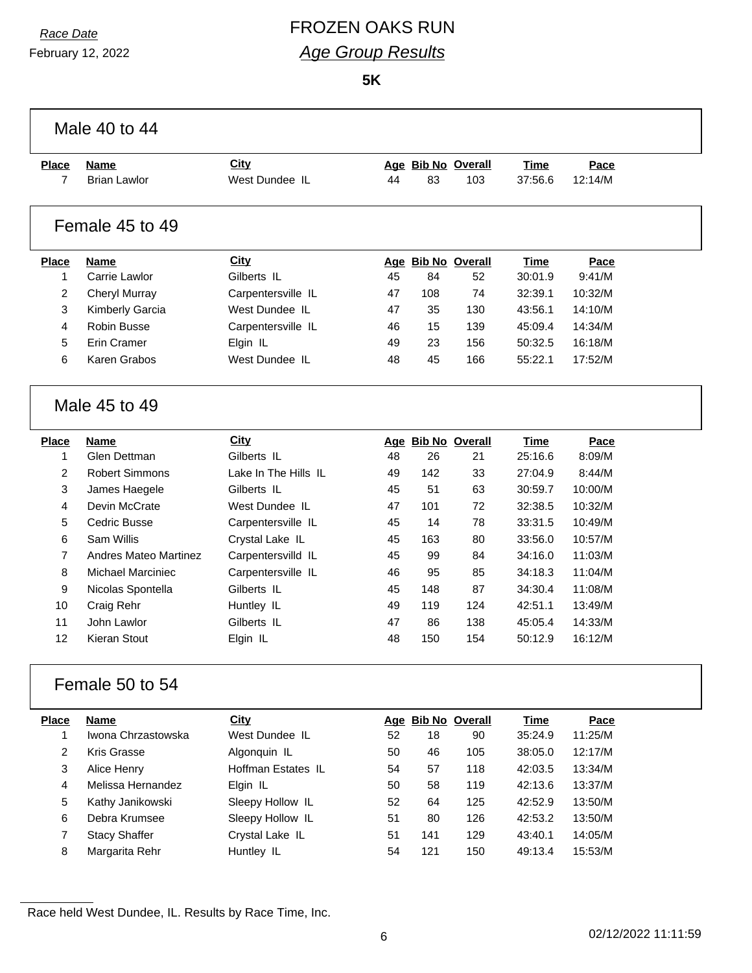# *Race Date* FROZEN OAKS RUN *Age Group Results*

**5K**

|                | Male 40 to 44                |                      |    |     |                    |             |         |  |
|----------------|------------------------------|----------------------|----|-----|--------------------|-------------|---------|--|
| <b>Place</b>   | <b>Name</b>                  | City                 |    |     | Age Bib No Overall | <b>Time</b> | Pace    |  |
| 7              | <b>Brian Lawlor</b>          | West Dundee IL       | 44 | 83  | 103                | 37:56.6     | 12:14/M |  |
|                | Female 45 to 49              |                      |    |     |                    |             |         |  |
| <b>Place</b>   | <b>Name</b>                  | <b>City</b>          |    |     | Age Bib No Overall | <b>Time</b> | Pace    |  |
| $\mathbf{1}$   | Carrie Lawlor                | Gilberts IL          | 45 | 84  | 52                 | 30:01.9     | 9:41/M  |  |
| $\overline{2}$ | <b>Cheryl Murray</b>         | Carpentersville IL   | 47 | 108 | 74                 | 32:39.1     | 10:32/M |  |
| 3              | <b>Kimberly Garcia</b>       | West Dundee IL       | 47 | 35  | 130                | 43:56.1     | 14:10/M |  |
| 4              | <b>Robin Busse</b>           | Carpentersville IL   | 46 | 15  | 139                | 45:09.4     | 14:34/M |  |
| 5              | Erin Cramer                  | Elgin IL             | 49 | 23  | 156                | 50:32.5     | 16:18/M |  |
| 6              | Karen Grabos                 | West Dundee IL       | 48 | 45  | 166                | 55:22.1     | 17:52/M |  |
|                | Male 45 to 49                |                      |    |     |                    |             |         |  |
| <b>Place</b>   | <b>Name</b>                  | City                 |    |     | Age Bib No Overall | Time        | Pace    |  |
| $\mathbf{1}$   | Glen Dettman                 | Gilberts IL          | 48 | 26  | 21                 | 25:16.6     | 8:09/M  |  |
| $\overline{2}$ | <b>Robert Simmons</b>        | Lake In The Hills IL | 49 | 142 | 33                 | 27:04.9     | 8:44/M  |  |
| 3              | James Haegele                | Gilberts IL          | 45 | 51  | 63                 | 30:59.7     | 10:00/M |  |
| 4              | Devin McCrate                | West Dundee IL       | 47 | 101 | 72                 | 32:38.5     | 10:32/M |  |
| 5              | Cedric Busse                 | Carpentersville IL   | 45 | 14  | 78                 | 33:31.5     | 10:49/M |  |
| 6              | Sam Willis                   | Crystal Lake IL      | 45 | 163 | 80                 | 33:56.0     | 10:57/M |  |
| $\overline{7}$ | <b>Andres Mateo Martinez</b> | Carpentersvilld IL   | 45 | 99  | 84                 | 34:16.0     | 11:03/M |  |
| 8              | <b>Michael Marciniec</b>     | Carpentersville IL   | 46 | 95  | 85                 | 34:18.3     | 11:04/M |  |
| 9              | Nicolas Spontella            | Gilberts IL          | 45 | 148 | 87                 | 34:30.4     | 11:08/M |  |
| 10             | Craig Rehr                   | Huntley IL           | 49 | 119 | 124                | 42:51.1     | 13:49/M |  |
| 11             | John Lawlor                  | Gilberts IL          | 47 | 86  | 138                | 45:05.4     | 14:33/M |  |
| 12             | Kieran Stout                 | Elgin IL             | 48 | 150 | 154                | 50:12.9     | 16:12/M |  |
|                | Female 50 to 54              |                      |    |     |                    |             |         |  |
| <b>Place</b>   | <b>Name</b>                  | City                 |    |     | Age Bib No Overall | <b>Time</b> | Pace    |  |
| $\mathbf 1$    | Iwona Chrzastowska           | West Dundee IL       | 52 | 18  | 90                 | 35:24.9     | 11:25/M |  |
| $\overline{2}$ | Kris Grasse                  | Algonquin IL         | 50 | 46  | 105                | 38:05.0     | 12:17/M |  |
| 3              | Alice Henry                  | Hoffman Estates IL   | 54 | 57  | 118                | 42:03.5     | 13:34/M |  |
| 4              | Melissa Hernandez            | Elgin IL             | 50 | 58  | 119                | 42:13.6     | 13:37/M |  |
| 5              | Kathy Janikowski             | Sleepy Hollow IL     | 52 | 64  | 125                | 42:52.9     | 13:50/M |  |
| 6              | Debra Krumsee                | Sleepy Hollow IL     | 51 | 80  | 126                | 42:53.2     | 13:50/M |  |
| $\overline{7}$ | <b>Stacy Shaffer</b>         | Crystal Lake IL      | 51 | 141 | 129                | 43:40.1     | 14:05/M |  |
| 8              | Margarita Rehr               | Huntley IL           | 54 | 121 | 150                | 49:13.4     | 15:53/M |  |
|                |                              |                      |    |     |                    |             |         |  |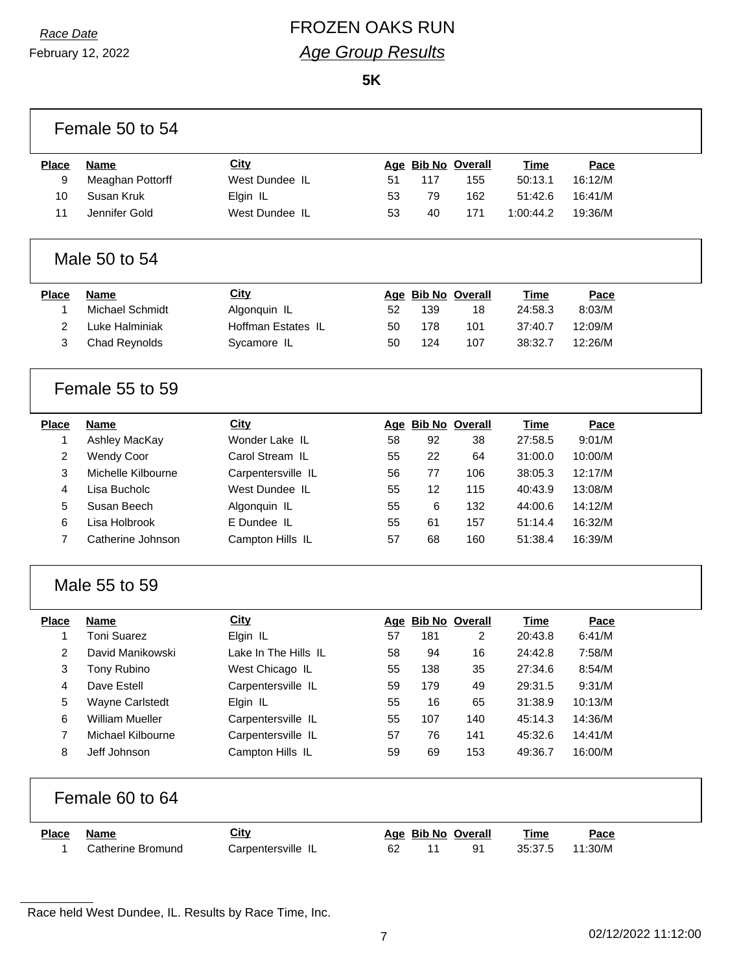Г

# *Race Date* FROZEN OAKS RUN *Age Group Results*

**5K**

|                | Female 50 to 54        |                      |    |     |                    |             |         |  |
|----------------|------------------------|----------------------|----|-----|--------------------|-------------|---------|--|
| <b>Place</b>   | <b>Name</b>            | <b>City</b>          |    |     | Age Bib No Overall | <b>Time</b> | Pace    |  |
| 9              | Meaghan Pottorff       | West Dundee IL       | 51 | 117 | 155                | 50:13.1     | 16:12/M |  |
| 10             | Susan Kruk             | Elgin IL             | 53 | 79  | 162                | 51:42.6     | 16:41/M |  |
| 11             | Jennifer Gold          | West Dundee IL       | 53 | 40  | 171                | 1:00:44.2   | 19:36/M |  |
|                | Male 50 to 54          |                      |    |     |                    |             |         |  |
| <b>Place</b>   | <b>Name</b>            | <b>City</b>          |    |     | Age Bib No Overall | <b>Time</b> | Pace    |  |
| 1              | <b>Michael Schmidt</b> | Algonquin IL         | 52 | 139 | 18                 | 24:58.3     | 8:03/M  |  |
| $\overline{2}$ | Luke Halminiak         | Hoffman Estates IL   | 50 | 178 | 101                | 37:40.7     | 12:09/M |  |
| 3              | <b>Chad Reynolds</b>   | Sycamore IL          | 50 | 124 | 107                | 38:32.7     | 12:26/M |  |
|                | Female 55 to 59        |                      |    |     |                    |             |         |  |
| <b>Place</b>   | <b>Name</b>            | City                 |    |     | Age Bib No Overall | <b>Time</b> | Pace    |  |
| 1              | Ashley MacKay          | Wonder Lake IL       | 58 | 92  | 38                 | 27:58.5     | 9:01/M  |  |
| 2              | <b>Wendy Coor</b>      | Carol Stream IL      | 55 | 22  | 64                 | 31:00.0     | 10:00/M |  |
| 3              | Michelle Kilbourne     | Carpentersville IL   | 56 | 77  | 106                | 38:05.3     | 12:17/M |  |
| 4              | Lisa Bucholc           | West Dundee IL       | 55 | 12  | 115                | 40:43.9     | 13:08/M |  |
| 5              | Susan Beech            | Algonquin IL         | 55 | 6   | 132                | 44:00.6     | 14:12/M |  |
| 6              | Lisa Holbrook          | E Dundee IL          | 55 | 61  | 157                | 51:14.4     | 16:32/M |  |
| $\overline{7}$ | Catherine Johnson      | Campton Hills IL     | 57 | 68  | 160                | 51:38.4     | 16:39/M |  |
|                | Male 55 to 59          |                      |    |     |                    |             |         |  |
| <b>Place</b>   | <b>Name</b>            | <b>City</b>          |    |     | Age Bib No Overall | <b>Time</b> | Pace    |  |
| 1              | <b>Toni Suarez</b>     | Elgin IL             | 57 | 181 | 2                  | 20:43.8     | 6:41/M  |  |
| $\overline{2}$ | David Manikowski       | Lake In The Hills IL | 58 | 94  | 16                 | 24:42.8     | 7:58/M  |  |
| 3              | Tony Rubino            | West Chicago IL      | 55 | 138 | 35                 | 27:34.6     | 8:54/M  |  |
| 4              | Dave Estell            | Carpentersville IL   | 59 | 179 | 49                 | 29:31.5     | 9:31/M  |  |
| 5              | Wayne Carlstedt        | Elgin IL             | 55 | 16  | 65                 | 31:38.9     | 10:13/M |  |
| 6              | <b>William Mueller</b> | Carpentersville IL   | 55 | 107 | 140                | 45:14.3     | 14:36/M |  |
| 7              | Michael Kilbourne      | Carpentersville IL   | 57 | 76  | 141                | 45:32.6     | 14:41/M |  |
| 8              | Jeff Johnson           | Campton Hills IL     | 59 | 69  | 153                | 49:36.7     | 16:00/M |  |
|                | Female 60 to 64        |                      |    |     |                    |             |         |  |
| <b>Place</b>   | <b>Name</b>            | <b>City</b>          |    |     | Age Bib No Overall | <b>Time</b> | Pace    |  |
| 1              | Catherine Bromund      | Carpentersville IL   | 62 | 11  | 91                 | 35:37.5     | 11:30/M |  |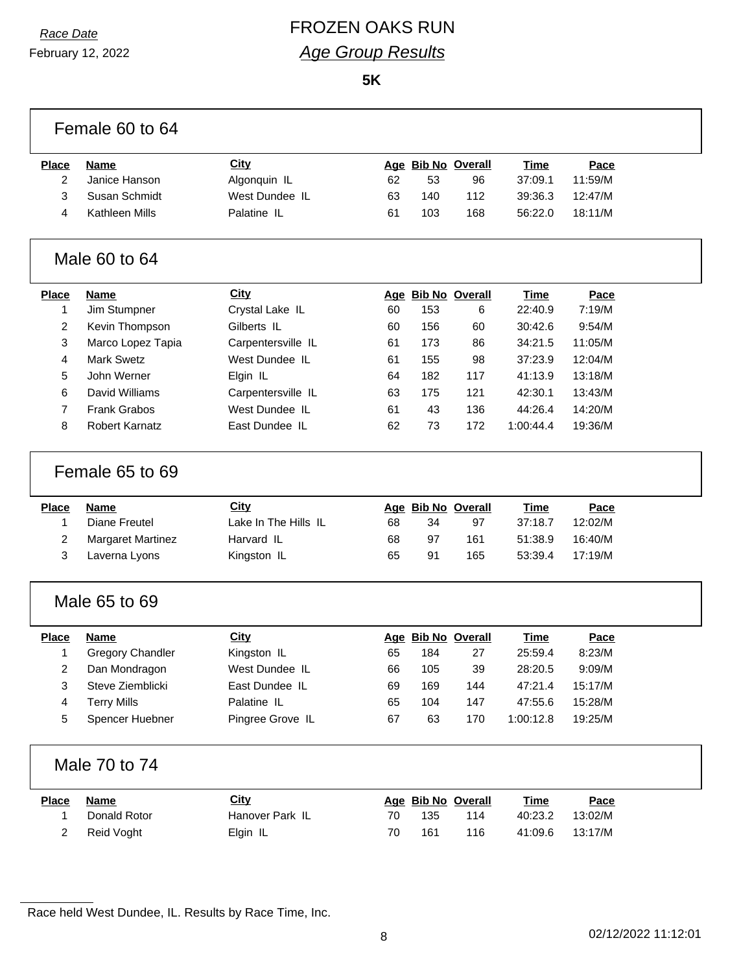# *Race Date* FROZEN OAKS RUN *Age Group Results*

**5K**

|                         | Female 60 to 64                     |                      |    |     |                          |                        |                 |  |
|-------------------------|-------------------------------------|----------------------|----|-----|--------------------------|------------------------|-----------------|--|
| <b>Place</b>            | <b>Name</b>                         | <b>City</b>          |    |     | Age Bib No Overall       | Time                   | Pace            |  |
| $\overline{2}$          | Janice Hanson                       | Algonquin IL         | 62 | 53  | 96                       | 37:09.1                | 11:59/M         |  |
| 3                       | Susan Schmidt                       | West Dundee IL       | 63 | 140 | 112                      | 39:36.3                | 12:47/M         |  |
| 4                       | <b>Kathleen Mills</b>               | Palatine IL          | 61 | 103 | 168                      | 56:22.0                | 18:11/M         |  |
|                         | Male 60 to 64                       |                      |    |     |                          |                        |                 |  |
| <b>Place</b>            | <b>Name</b>                         | City                 |    |     | Age Bib No Overall       | <b>Time</b>            | Pace            |  |
| 1                       | Jim Stumpner                        | Crystal Lake IL      | 60 | 153 | 6                        | 22:40.9                | 7:19/M          |  |
| $\overline{2}$          | Kevin Thompson                      | Gilberts IL          | 60 | 156 | 60                       | 30:42.6                | 9:54/M          |  |
| 3                       | Marco Lopez Tapia                   | Carpentersville IL   | 61 | 173 | 86                       | 34:21.5                | 11:05/M         |  |
| 4                       | <b>Mark Swetz</b>                   | West Dundee IL       | 61 | 155 | 98                       | 37:23.9                | 12:04/M         |  |
| 5                       | John Werner                         | Elgin IL             | 64 | 182 | 117                      | 41:13.9                | 13:18/M         |  |
| 6                       | David Williams                      | Carpentersville IL   | 63 | 175 | 121                      | 42:30.1                | 13:43/M         |  |
| $\overline{7}$          | <b>Frank Grabos</b>                 | West Dundee IL       | 61 | 43  | 136                      | 44:26.4                | 14:20/M         |  |
| 8                       | <b>Robert Karnatz</b>               | East Dundee IL       | 62 | 73  | 172                      | 1:00:44.4              | 19:36/M         |  |
|                         | Female 65 to 69                     | <b>City</b>          |    |     |                          |                        |                 |  |
| <b>Place</b><br>1       | <b>Name</b><br><b>Diane Freutel</b> | Lake In The Hills IL | 68 | 34  | Age Bib No Overall<br>97 | <b>Time</b><br>37:18.7 | Pace<br>12:02/M |  |
| 2                       | <b>Margaret Martinez</b>            | Harvard IL           | 68 | 97  | 161                      | 51:38.9                | 16:40/M         |  |
| 3                       | Laverna Lyons                       | Kingston IL          | 65 | 91  | 165                      | 53:39.4                | 17:19/M         |  |
|                         | Male 65 to 69                       |                      |    |     |                          |                        |                 |  |
| <b>Place</b>            | <b>Name</b>                         | <b>City</b>          |    |     | Age Bib No Overall       | <b>Time</b>            | Pace            |  |
| 1                       | <b>Gregory Chandler</b>             | Kingston IL          | 65 | 184 | 27                       | 25:59.4                | 8:23/M          |  |
| $\overline{\mathbf{c}}$ | Dan Mondragon                       | West Dundee IL       | 66 | 105 | 39                       | 28:20.5                | 9:09/M          |  |
| 3                       | Steve Ziemblicki                    | East Dundee IL       | 69 | 169 | 144                      | 47:21.4                | 15:17/M         |  |
| 4                       | <b>Terry Mills</b>                  | Palatine IL          | 65 | 104 | 147                      | 47:55.6                | 15:28/M         |  |
| 5                       | Spencer Huebner                     | Pingree Grove IL     | 67 | 63  | 170                      | 1:00:12.8              | 19:25/M         |  |
|                         | Male 70 to 74                       |                      |    |     |                          |                        |                 |  |
| <b>Place</b>            | <b>Name</b>                         | <b>City</b>          |    |     | Age Bib No Overall       | <b>Time</b>            | Pace            |  |
| 1                       | Donald Rotor                        | Hanover Park IL      | 70 | 135 | 114                      | 40:23.2                | 13:02/M         |  |
| 2                       | Reid Voght                          | Elgin IL             | 70 | 161 | 116                      | 41:09.6                | 13:17/M         |  |